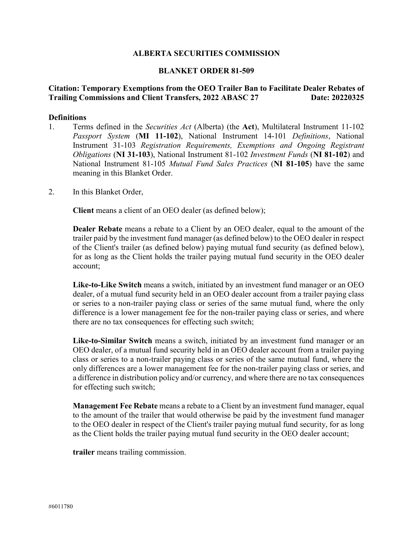#### **ALBERTA SECURITIES COMMISSION**

#### **BLANKET ORDER 81-509**

#### **Citation: Temporary Exemptions from the OEO Trailer Ban to Facilitate Dealer Rebates of Trailing Commissions and Client Transfers, 2022 ABASC 27 Date: 20220325**

#### **Definitions**

- 1. Terms defined in the *Securities Act* (Alberta) (the **Act**), Multilateral Instrument 11-102 *Passport System* (**MI 11-102**), National Instrument 14-101 *Definitions*, National Instrument 31-103 *Registration Requirements, Exemptions and Ongoing Registrant Obligations* (**NI 31-103**), National Instrument 81-102 *Investment Funds* (**NI 81-102**) and National Instrument 81-105 *Mutual Fund Sales Practices* (**NI 81-105**) have the same meaning in this Blanket Order.
- 2. In this Blanket Order,

**Client** means a client of an OEO dealer (as defined below);

**Dealer Rebate** means a rebate to a Client by an OEO dealer, equal to the amount of the trailer paid by the investment fund manager (as defined below) to the OEO dealer in respect of the Client's trailer (as defined below) paying mutual fund security (as defined below), for as long as the Client holds the trailer paying mutual fund security in the OEO dealer account;

**Like-to-Like Switch** means a switch, initiated by an investment fund manager or an OEO dealer, of a mutual fund security held in an OEO dealer account from a trailer paying class or series to a non-trailer paying class or series of the same mutual fund, where the only difference is a lower management fee for the non-trailer paying class or series, and where there are no tax consequences for effecting such switch;

**Like-to-Similar Switch** means a switch, initiated by an investment fund manager or an OEO dealer, of a mutual fund security held in an OEO dealer account from a trailer paying class or series to a non-trailer paying class or series of the same mutual fund, where the only differences are a lower management fee for the non-trailer paying class or series, and a difference in distribution policy and/or currency, and where there are no tax consequences for effecting such switch;

**Management Fee Rebate** means a rebate to a Client by an investment fund manager, equal to the amount of the trailer that would otherwise be paid by the investment fund manager to the OEO dealer in respect of the Client's trailer paying mutual fund security, for as long as the Client holds the trailer paying mutual fund security in the OEO dealer account;

**trailer** means trailing commission.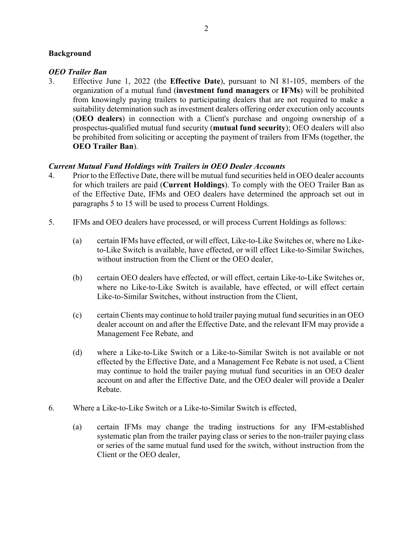## **Background**

#### *OEO Trailer Ban*

3. Effective June 1, 2022 (the **Effective Date**), pursuant to NI 81-105, members of the organization of a mutual fund (**investment fund managers** or **IFMs**) will be prohibited from knowingly paying trailers to participating dealers that are not required to make a suitability determination such as investment dealers offering order execution only accounts (**OEO dealers**) in connection with a Client's purchase and ongoing ownership of a prospectus-qualified mutual fund security (**mutual fund security**); OEO dealers will also be prohibited from soliciting or accepting the payment of trailers from IFMs (together, the **OEO Trailer Ban**).

## *Current Mutual Fund Holdings with Trailers in OEO Dealer Accounts*

- 4. Prior to the Effective Date, there will be mutual fund securities held in OEO dealer accounts for which trailers are paid (**Current Holdings**). To comply with the OEO Trailer Ban as of the Effective Date, IFMs and OEO dealers have determined the approach set out in paragraphs 5 to 15 will be used to process Current Holdings.
- 5. IFMs and OEO dealers have processed, or will process Current Holdings as follows:
	- (a) certain IFMs have effected, or will effect, Like-to-Like Switches or, where no Liketo-Like Switch is available, have effected, or will effect Like-to-Similar Switches, without instruction from the Client or the OEO dealer,
	- (b) certain OEO dealers have effected, or will effect, certain Like-to-Like Switches or, where no Like-to-Like Switch is available, have effected, or will effect certain Like-to-Similar Switches, without instruction from the Client,
	- (c) certain Clients may continue to hold trailer paying mutual fund securities in an OEO dealer account on and after the Effective Date, and the relevant IFM may provide a Management Fee Rebate, and
	- (d) where a Like-to-Like Switch or a Like-to-Similar Switch is not available or not effected by the Effective Date, and a Management Fee Rebate is not used, a Client may continue to hold the trailer paying mutual fund securities in an OEO dealer account on and after the Effective Date, and the OEO dealer will provide a Dealer Rebate.
- 6. Where a Like-to-Like Switch or a Like-to-Similar Switch is effected,
	- (a) certain IFMs may change the trading instructions for any IFM-established systematic plan from the trailer paying class or series to the non-trailer paying class or series of the same mutual fund used for the switch, without instruction from the Client or the OEO dealer,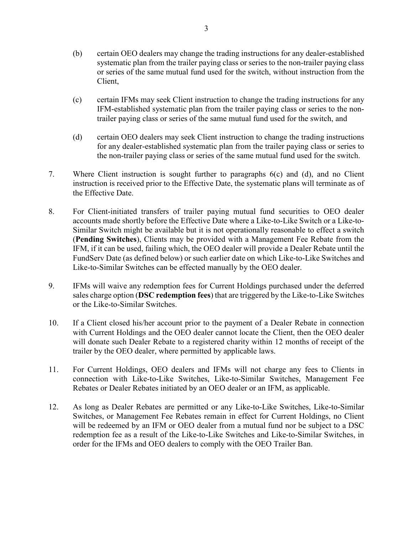- (b) certain OEO dealers may change the trading instructions for any dealer-established systematic plan from the trailer paying class or series to the non-trailer paying class or series of the same mutual fund used for the switch, without instruction from the Client,
- (c) certain IFMs may seek Client instruction to change the trading instructions for any IFM-established systematic plan from the trailer paying class or series to the nontrailer paying class or series of the same mutual fund used for the switch, and
- (d) certain OEO dealers may seek Client instruction to change the trading instructions for any dealer-established systematic plan from the trailer paying class or series to the non-trailer paying class or series of the same mutual fund used for the switch.
- 7. Where Client instruction is sought further to paragraphs 6(c) and (d), and no Client instruction is received prior to the Effective Date, the systematic plans will terminate as of the Effective Date.
- 8. For Client-initiated transfers of trailer paying mutual fund securities to OEO dealer accounts made shortly before the Effective Date where a Like-to-Like Switch or a Like-to-Similar Switch might be available but it is not operationally reasonable to effect a switch (**Pending Switches**), Clients may be provided with a Management Fee Rebate from the IFM, if it can be used, failing which, the OEO dealer will provide a Dealer Rebate until the FundServ Date (as defined below) or such earlier date on which Like-to-Like Switches and Like-to-Similar Switches can be effected manually by the OEO dealer.
- 9. IFMs will waive any redemption fees for Current Holdings purchased under the deferred sales charge option (**DSC redemption fees**) that are triggered by the Like-to-Like Switches or the Like-to-Similar Switches.
- 10. If a Client closed his/her account prior to the payment of a Dealer Rebate in connection with Current Holdings and the OEO dealer cannot locate the Client, then the OEO dealer will donate such Dealer Rebate to a registered charity within 12 months of receipt of the trailer by the OEO dealer, where permitted by applicable laws.
- 11. For Current Holdings, OEO dealers and IFMs will not charge any fees to Clients in connection with Like-to-Like Switches, Like-to-Similar Switches, Management Fee Rebates or Dealer Rebates initiated by an OEO dealer or an IFM, as applicable.
- 12. As long as Dealer Rebates are permitted or any Like-to-Like Switches, Like-to-Similar Switches, or Management Fee Rebates remain in effect for Current Holdings, no Client will be redeemed by an IFM or OEO dealer from a mutual fund nor be subject to a DSC redemption fee as a result of the Like-to-Like Switches and Like-to-Similar Switches, in order for the IFMs and OEO dealers to comply with the OEO Trailer Ban.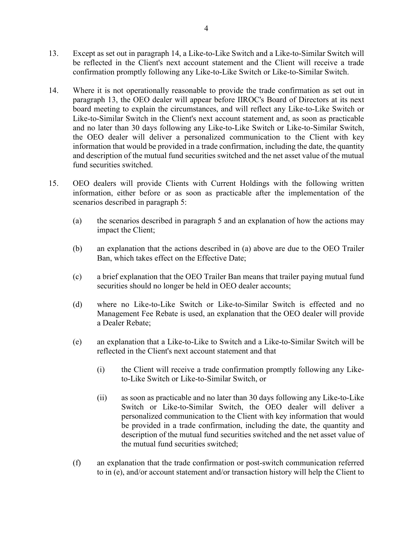- 13. Except as set out in paragraph 14, a Like-to-Like Switch and a Like-to-Similar Switch will be reflected in the Client's next account statement and the Client will receive a trade confirmation promptly following any Like-to-Like Switch or Like-to-Similar Switch.
- 14. Where it is not operationally reasonable to provide the trade confirmation as set out in paragraph 13, the OEO dealer will appear before IIROC's Board of Directors at its next board meeting to explain the circumstances, and will reflect any Like-to-Like Switch or Like-to-Similar Switch in the Client's next account statement and, as soon as practicable and no later than 30 days following any Like-to-Like Switch or Like-to-Similar Switch, the OEO dealer will deliver a personalized communication to the Client with key information that would be provided in a trade confirmation, including the date, the quantity and description of the mutual fund securities switched and the net asset value of the mutual fund securities switched.
- 15. OEO dealers will provide Clients with Current Holdings with the following written information, either before or as soon as practicable after the implementation of the scenarios described in paragraph 5:
	- (a) the scenarios described in paragraph 5 and an explanation of how the actions may impact the Client;
	- (b) an explanation that the actions described in (a) above are due to the OEO Trailer Ban, which takes effect on the Effective Date;
	- (c) a brief explanation that the OEO Trailer Ban means that trailer paying mutual fund securities should no longer be held in OEO dealer accounts;
	- (d) where no Like-to-Like Switch or Like-to-Similar Switch is effected and no Management Fee Rebate is used, an explanation that the OEO dealer will provide a Dealer Rebate;
	- (e) an explanation that a Like-to-Like to Switch and a Like-to-Similar Switch will be reflected in the Client's next account statement and that
		- (i) the Client will receive a trade confirmation promptly following any Liketo-Like Switch or Like-to-Similar Switch, or
		- (ii) as soon as practicable and no later than 30 days following any Like-to-Like Switch or Like-to-Similar Switch, the OEO dealer will deliver a personalized communication to the Client with key information that would be provided in a trade confirmation, including the date, the quantity and description of the mutual fund securities switched and the net asset value of the mutual fund securities switched;
	- (f) an explanation that the trade confirmation or post-switch communication referred to in (e), and/or account statement and/or transaction history will help the Client to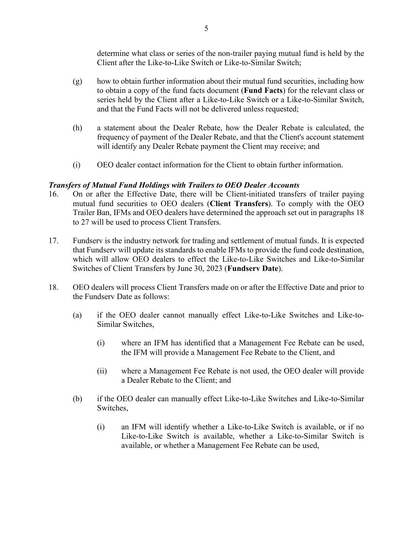determine what class or series of the non-trailer paying mutual fund is held by the Client after the Like-to-Like Switch or Like-to-Similar Switch;

- (g) how to obtain further information about their mutual fund securities, including how to obtain a copy of the fund facts document (**Fund Facts**) for the relevant class or series held by the Client after a Like-to-Like Switch or a Like-to-Similar Switch, and that the Fund Facts will not be delivered unless requested;
- (h) a statement about the Dealer Rebate, how the Dealer Rebate is calculated, the frequency of payment of the Dealer Rebate, and that the Client's account statement will identify any Dealer Rebate payment the Client may receive; and
- (i) OEO dealer contact information for the Client to obtain further information.

# *Transfers of Mutual Fund Holdings with Trailers to OEO Dealer Accounts*

- 16. On or after the Effective Date, there will be Client-initiated transfers of trailer paying mutual fund securities to OEO dealers (**Client Transfers**). To comply with the OEO Trailer Ban, IFMs and OEO dealers have determined the approach set out in paragraphs 18 to 27 will be used to process Client Transfers.
- 17. Fundserv is the industry network for trading and settlement of mutual funds. It is expected that Fundserv will update its standards to enable IFMs to provide the fund code destination, which will allow OEO dealers to effect the Like-to-Like Switches and Like-to-Similar Switches of Client Transfers by June 30, 2023 (**Fundserv Date**).
- 18. OEO dealers will process Client Transfers made on or after the Effective Date and prior to the Fundserv Date as follows:
	- (a) if the OEO dealer cannot manually effect Like-to-Like Switches and Like-to-Similar Switches,
		- (i) where an IFM has identified that a Management Fee Rebate can be used, the IFM will provide a Management Fee Rebate to the Client, and
		- (ii) where a Management Fee Rebate is not used, the OEO dealer will provide a Dealer Rebate to the Client; and
	- (b) if the OEO dealer can manually effect Like-to-Like Switches and Like-to-Similar Switches,
		- (i) an IFM will identify whether a Like-to-Like Switch is available, or if no Like-to-Like Switch is available, whether a Like-to-Similar Switch is available, or whether a Management Fee Rebate can be used,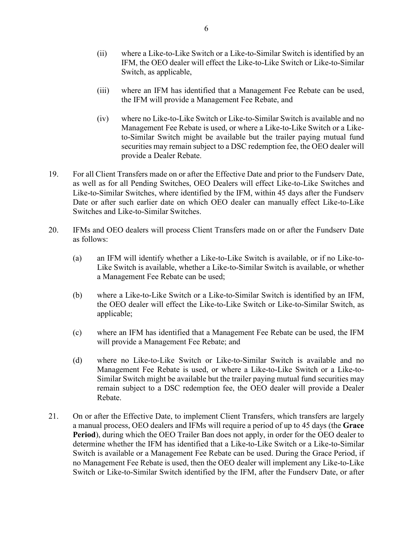- (ii) where a Like-to-Like Switch or a Like-to-Similar Switch is identified by an IFM, the OEO dealer will effect the Like-to-Like Switch or Like-to-Similar Switch, as applicable,
- (iii) where an IFM has identified that a Management Fee Rebate can be used, the IFM will provide a Management Fee Rebate, and
- (iv) where no Like-to-Like Switch or Like-to-Similar Switch is available and no Management Fee Rebate is used, or where a Like-to-Like Switch or a Liketo-Similar Switch might be available but the trailer paying mutual fund securities may remain subject to a DSC redemption fee, the OEO dealer will provide a Dealer Rebate.
- 19. For all Client Transfers made on or after the Effective Date and prior to the Fundserv Date, as well as for all Pending Switches, OEO Dealers will effect Like-to-Like Switches and Like-to-Similar Switches, where identified by the IFM, within 45 days after the Fundserv Date or after such earlier date on which OEO dealer can manually effect Like-to-Like Switches and Like-to-Similar Switches.
- 20. IFMs and OEO dealers will process Client Transfers made on or after the Fundserv Date as follows:
	- (a) an IFM will identify whether a Like-to-Like Switch is available, or if no Like-to-Like Switch is available, whether a Like-to-Similar Switch is available, or whether a Management Fee Rebate can be used;
	- (b) where a Like-to-Like Switch or a Like-to-Similar Switch is identified by an IFM, the OEO dealer will effect the Like-to-Like Switch or Like-to-Similar Switch, as applicable;
	- (c) where an IFM has identified that a Management Fee Rebate can be used, the IFM will provide a Management Fee Rebate; and
	- (d) where no Like-to-Like Switch or Like-to-Similar Switch is available and no Management Fee Rebate is used, or where a Like-to-Like Switch or a Like-to-Similar Switch might be available but the trailer paying mutual fund securities may remain subject to a DSC redemption fee, the OEO dealer will provide a Dealer Rebate.
- 21. On or after the Effective Date, to implement Client Transfers, which transfers are largely a manual process, OEO dealers and IFMs will require a period of up to 45 days (the **Grace Period**), during which the OEO Trailer Ban does not apply, in order for the OEO dealer to determine whether the IFM has identified that a Like-to-Like Switch or a Like-to-Similar Switch is available or a Management Fee Rebate can be used. During the Grace Period, if no Management Fee Rebate is used, then the OEO dealer will implement any Like-to-Like Switch or Like-to-Similar Switch identified by the IFM, after the Fundserv Date, or after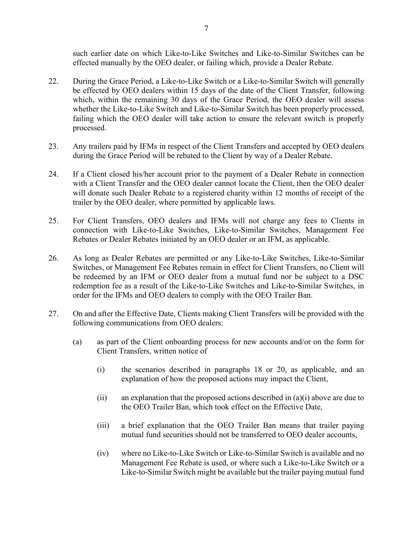such earlier date on which Like-to-Like Switches and Like-to-Similar Switches can be effected manually by the OEO dealer, or failing which, provide a Dealer Rebate.

- 22. During the Grace Period, a Like-to-Like Switch or a Like-to-Similar Switch will generally be effected by OEO dealers within 15 days of the date of the Client Transfer, following which, within the remaining 30 days of the Grace Period, the OEO dealer will assess whether the Like-to-Like Switch and Like-to-Similar Switch has been properly processed, failing which the OEO dealer will take action to ensure the relevant switch is properly processed.
- 23. Any trailers paid by IFMs in respect of the Client Transfers and accepted by OEO dealers during the Grace Period will be rebated to the Client by way of a Dealer Rebate.
- 24. If a Client closed his/her account prior to the payment of a Dealer Rebate in connection with a Client Transfer and the OEO dealer cannot locate the Client, then the OEO dealer will donate such Dealer Rebate to a registered charity within 12 months of receipt of the trailer by the OEO dealer, where permitted by applicable laws.
- 25. For Client Transfers, OEO dealers and IFMs will not charge any fees to Clients in connection with Like-to-Like Switches, Like-to-Similar Switches, Management Fee Rebates or Dealer Rebates initiated by an OEO dealer or an IFM, as applicable.
- 26. As long as Dealer Rebates are permitted or any Like-to-Like Switches, Like-to-Similar Switches, or Management Fee Rebates remain in effect for Client Transfers, no Client will be redeemed by an IFM or OEO dealer from a mutual fund nor be subject to a DSC redemption fee as a result of the Like-to-Like Switches and Like-to-Similar Switches, in order for the IFMs and OEO dealers to comply with the OEO Trailer Ban.
- 27. On and after the Effective Date, Clients making Client Transfers will be provided with the following communications from OEO dealers:
	- (a) as part of the Client onboarding process for new accounts and/or on the form for Client Transfers, written notice of
		- (i) the scenarios described in paragraphs 18 or 20, as applicable, and an explanation of how the proposed actions may impact the Client,
		- (ii) an explanation that the proposed actions described in  $(a)(i)$  above are due to the OEO Trailer Ban, which took effect on the Effective Date,
		- (iii) a brief explanation that the OEO Trailer Ban means that trailer paying mutual fund securities should not be transferred to OEO dealer accounts,
		- (iv) where no Like-to-Like Switch or Like-to-Similar Switch is available and no Management Fee Rebate is used, or where such a Like-to-Like Switch or a Like-to-Similar Switch might be available but the trailer paying mutual fund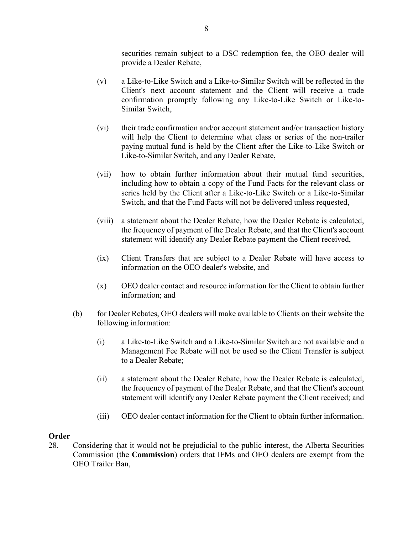securities remain subject to a DSC redemption fee, the OEO dealer will provide a Dealer Rebate,

- (v) a Like-to-Like Switch and a Like-to-Similar Switch will be reflected in the Client's next account statement and the Client will receive a trade confirmation promptly following any Like-to-Like Switch or Like-to-Similar Switch,
- (vi) their trade confirmation and/or account statement and/or transaction history will help the Client to determine what class or series of the non-trailer paying mutual fund is held by the Client after the Like-to-Like Switch or Like-to-Similar Switch, and any Dealer Rebate,
- (vii) how to obtain further information about their mutual fund securities, including how to obtain a copy of the Fund Facts for the relevant class or series held by the Client after a Like-to-Like Switch or a Like-to-Similar Switch, and that the Fund Facts will not be delivered unless requested,
- (viii) a statement about the Dealer Rebate, how the Dealer Rebate is calculated, the frequency of payment of the Dealer Rebate, and that the Client's account statement will identify any Dealer Rebate payment the Client received,
- (ix) Client Transfers that are subject to a Dealer Rebate will have access to information on the OEO dealer's website, and
- (x) OEO dealer contact and resource information for the Client to obtain further information; and
- (b) for Dealer Rebates, OEO dealers will make available to Clients on their website the following information:
	- (i) a Like-to-Like Switch and a Like-to-Similar Switch are not available and a Management Fee Rebate will not be used so the Client Transfer is subject to a Dealer Rebate;
	- (ii) a statement about the Dealer Rebate, how the Dealer Rebate is calculated, the frequency of payment of the Dealer Rebate, and that the Client's account statement will identify any Dealer Rebate payment the Client received; and
	- (iii) OEO dealer contact information for the Client to obtain further information.

## **Order**

28. Considering that it would not be prejudicial to the public interest, the Alberta Securities Commission (the **Commission**) orders that IFMs and OEO dealers are exempt from the OEO Trailer Ban,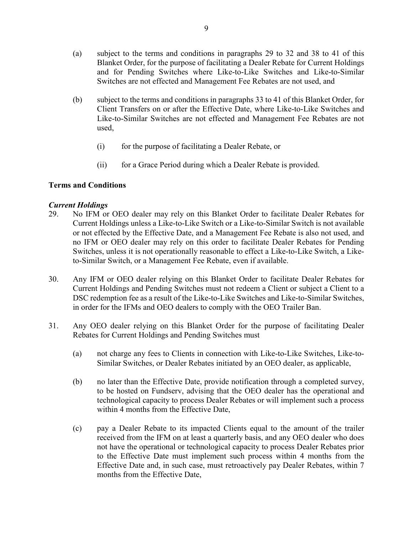- (a) subject to the terms and conditions in paragraphs 29 to 32 and 38 to 41 of this Blanket Order, for the purpose of facilitating a Dealer Rebate for Current Holdings and for Pending Switches where Like-to-Like Switches and Like-to-Similar Switches are not effected and Management Fee Rebates are not used, and
- (b) subject to the terms and conditions in paragraphs 33 to 41 of this Blanket Order, for Client Transfers on or after the Effective Date, where Like-to-Like Switches and Like-to-Similar Switches are not effected and Management Fee Rebates are not used,
	- (i) for the purpose of facilitating a Dealer Rebate, or
	- (ii) for a Grace Period during which a Dealer Rebate is provided.

## **Terms and Conditions**

## *Current Holdings*

- 29. No IFM or OEO dealer may rely on this Blanket Order to facilitate Dealer Rebates for Current Holdings unless a Like-to-Like Switch or a Like-to-Similar Switch is not available or not effected by the Effective Date, and a Management Fee Rebate is also not used, and no IFM or OEO dealer may rely on this order to facilitate Dealer Rebates for Pending Switches, unless it is not operationally reasonable to effect a Like-to-Like Switch, a Liketo-Similar Switch, or a Management Fee Rebate, even if available.
- 30. Any IFM or OEO dealer relying on this Blanket Order to facilitate Dealer Rebates for Current Holdings and Pending Switches must not redeem a Client or subject a Client to a DSC redemption fee as a result of the Like-to-Like Switches and Like-to-Similar Switches, in order for the IFMs and OEO dealers to comply with the OEO Trailer Ban.
- 31. Any OEO dealer relying on this Blanket Order for the purpose of facilitating Dealer Rebates for Current Holdings and Pending Switches must
	- (a) not charge any fees to Clients in connection with Like-to-Like Switches, Like-to-Similar Switches, or Dealer Rebates initiated by an OEO dealer, as applicable,
	- (b) no later than the Effective Date, provide notification through a completed survey, to be hosted on Fundserv, advising that the OEO dealer has the operational and technological capacity to process Dealer Rebates or will implement such a process within 4 months from the Effective Date,
	- (c) pay a Dealer Rebate to its impacted Clients equal to the amount of the trailer received from the IFM on at least a quarterly basis, and any OEO dealer who does not have the operational or technological capacity to process Dealer Rebates prior to the Effective Date must implement such process within 4 months from the Effective Date and, in such case, must retroactively pay Dealer Rebates, within 7 months from the Effective Date,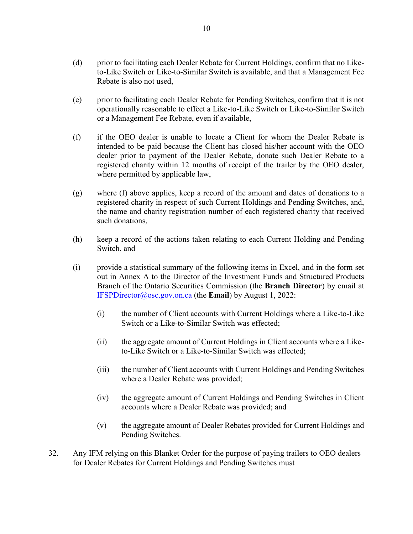- (d) prior to facilitating each Dealer Rebate for Current Holdings, confirm that no Liketo-Like Switch or Like-to-Similar Switch is available, and that a Management Fee Rebate is also not used,
- (e) prior to facilitating each Dealer Rebate for Pending Switches, confirm that it is not operationally reasonable to effect a Like-to-Like Switch or Like-to-Similar Switch or a Management Fee Rebate, even if available,
- (f) if the OEO dealer is unable to locate a Client for whom the Dealer Rebate is intended to be paid because the Client has closed his/her account with the OEO dealer prior to payment of the Dealer Rebate, donate such Dealer Rebate to a registered charity within 12 months of receipt of the trailer by the OEO dealer, where permitted by applicable law,
- (g) where (f) above applies, keep a record of the amount and dates of donations to a registered charity in respect of such Current Holdings and Pending Switches, and, the name and charity registration number of each registered charity that received such donations,
- (h) keep a record of the actions taken relating to each Current Holding and Pending Switch, and
- (i) provide a statistical summary of the following items in Excel, and in the form set out in Annex A to the Director of the Investment Funds and Structured Products Branch of the Ontario Securities Commission (the **Branch Director**) by email at [IFSPDirector@osc.gov.on.ca](mailto:IFSPDirector@osc.gov.on.ca) (the **Email**) by August 1, 2022:
	- (i) the number of Client accounts with Current Holdings where a Like-to-Like Switch or a Like-to-Similar Switch was effected;
	- (ii) the aggregate amount of Current Holdings in Client accounts where a Liketo-Like Switch or a Like-to-Similar Switch was effected;
	- (iii) the number of Client accounts with Current Holdings and Pending Switches where a Dealer Rebate was provided;
	- (iv) the aggregate amount of Current Holdings and Pending Switches in Client accounts where a Dealer Rebate was provided; and
	- (v) the aggregate amount of Dealer Rebates provided for Current Holdings and Pending Switches.
- 32. Any IFM relying on this Blanket Order for the purpose of paying trailers to OEO dealers for Dealer Rebates for Current Holdings and Pending Switches must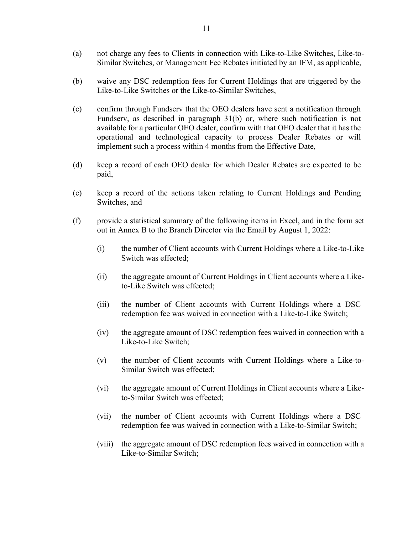- (a) not charge any fees to Clients in connection with Like-to-Like Switches, Like-to-Similar Switches, or Management Fee Rebates initiated by an IFM, as applicable,
- (b) waive any DSC redemption fees for Current Holdings that are triggered by the Like-to-Like Switches or the Like-to-Similar Switches,
- (c) confirm through Fundserv that the OEO dealers have sent a notification through Fundserv, as described in paragraph 31(b) or, where such notification is not available for a particular OEO dealer, confirm with that OEO dealer that it has the operational and technological capacity to process Dealer Rebates or will implement such a process within 4 months from the Effective Date,
- (d) keep a record of each OEO dealer for which Dealer Rebates are expected to be paid,
- (e) keep a record of the actions taken relating to Current Holdings and Pending Switches, and
- (f) provide a statistical summary of the following items in Excel, and in the form set out in Annex B to the Branch Director via the Email by August 1, 2022:
	- (i) the number of Client accounts with Current Holdings where a Like-to-Like Switch was effected;
	- (ii) the aggregate amount of Current Holdings in Client accounts where a Liketo-Like Switch was effected;
	- (iii) the number of Client accounts with Current Holdings where a DSC redemption fee was waived in connection with a Like-to-Like Switch;
	- (iv) the aggregate amount of DSC redemption fees waived in connection with a Like-to-Like Switch;
	- (v) the number of Client accounts with Current Holdings where a Like-to-Similar Switch was effected;
	- (vi) the aggregate amount of Current Holdings in Client accounts where a Liketo-Similar Switch was effected;
	- (vii) the number of Client accounts with Current Holdings where a DSC redemption fee was waived in connection with a Like-to-Similar Switch;
	- (viii) the aggregate amount of DSC redemption fees waived in connection with a Like-to-Similar Switch;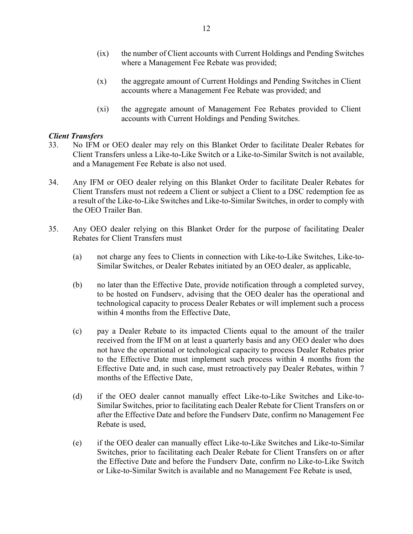- (ix) the number of Client accounts with Current Holdings and Pending Switches where a Management Fee Rebate was provided;
- (x) the aggregate amount of Current Holdings and Pending Switches in Client accounts where a Management Fee Rebate was provided; and
- (xi) the aggregate amount of Management Fee Rebates provided to Client accounts with Current Holdings and Pending Switches.

## *Client Transfers*

- 33. No IFM or OEO dealer may rely on this Blanket Order to facilitate Dealer Rebates for Client Transfers unless a Like-to-Like Switch or a Like-to-Similar Switch is not available, and a Management Fee Rebate is also not used.
- 34. Any IFM or OEO dealer relying on this Blanket Order to facilitate Dealer Rebates for Client Transfers must not redeem a Client or subject a Client to a DSC redemption fee as a result of the Like-to-Like Switches and Like-to-Similar Switches, in order to comply with the OEO Trailer Ban.
- 35. Any OEO dealer relying on this Blanket Order for the purpose of facilitating Dealer Rebates for Client Transfers must
	- (a) not charge any fees to Clients in connection with Like-to-Like Switches, Like-to-Similar Switches, or Dealer Rebates initiated by an OEO dealer, as applicable,
	- (b) no later than the Effective Date, provide notification through a completed survey, to be hosted on Fundserv, advising that the OEO dealer has the operational and technological capacity to process Dealer Rebates or will implement such a process within 4 months from the Effective Date,
	- (c) pay a Dealer Rebate to its impacted Clients equal to the amount of the trailer received from the IFM on at least a quarterly basis and any OEO dealer who does not have the operational or technological capacity to process Dealer Rebates prior to the Effective Date must implement such process within 4 months from the Effective Date and, in such case, must retroactively pay Dealer Rebates, within 7 months of the Effective Date,
	- (d) if the OEO dealer cannot manually effect Like-to-Like Switches and Like-to-Similar Switches, prior to facilitating each Dealer Rebate for Client Transfers on or after the Effective Date and before the Fundserv Date, confirm no Management Fee Rebate is used,
	- (e) if the OEO dealer can manually effect Like-to-Like Switches and Like-to-Similar Switches, prior to facilitating each Dealer Rebate for Client Transfers on or after the Effective Date and before the Fundserv Date, confirm no Like-to-Like Switch or Like-to-Similar Switch is available and no Management Fee Rebate is used,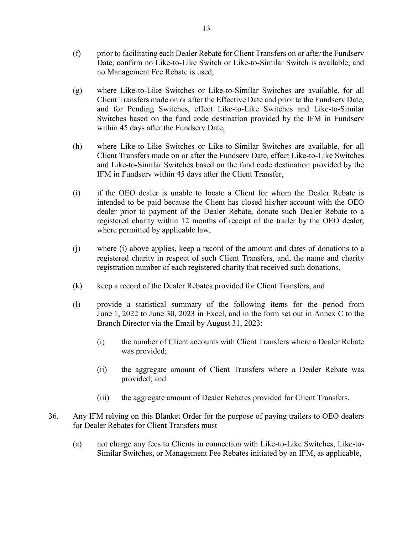- (f) prior to facilitating each Dealer Rebate for Client Transfers on or after the Fundserv Date, confirm no Like-to-Like Switch or Like-to-Similar Switch is available, and no Management Fee Rebate is used,
- (g) where Like-to-Like Switches or Like-to-Similar Switches are available, for all Client Transfers made on or after the Effective Date and prior to the Fundserv Date, and for Pending Switches, effect Like-to-Like Switches and Like-to-Similar Switches based on the fund code destination provided by the IFM in Fundserv within 45 days after the Fundserv Date,
- (h) where Like-to-Like Switches or Like-to-Similar Switches are available, for all Client Transfers made on or after the Fundserv Date, effect Like-to-Like Switches and Like-to-Similar Switches based on the fund code destination provided by the IFM in Fundserv within 45 days after the Client Transfer,
- (i) if the OEO dealer is unable to locate a Client for whom the Dealer Rebate is intended to be paid because the Client has closed his/her account with the OEO dealer prior to payment of the Dealer Rebate, donate such Dealer Rebate to a registered charity within 12 months of receipt of the trailer by the OEO dealer, where permitted by applicable law,
- (j) where (i) above applies, keep a record of the amount and dates of donations to a registered charity in respect of such Client Transfers, and, the name and charity registration number of each registered charity that received such donations,
- (k) keep a record of the Dealer Rebates provided for Client Transfers, and
- (l) provide a statistical summary of the following items for the period from June 1, 2022 to June 30, 2023 in Excel, and in the form set out in Annex C to the Branch Director via the Email by August 31, 2023:
	- (i) the number of Client accounts with Client Transfers where a Dealer Rebate was provided;
	- (ii) the aggregate amount of Client Transfers where a Dealer Rebate was provided; and
	- (iii) the aggregate amount of Dealer Rebates provided for Client Transfers.
- 36. Any IFM relying on this Blanket Order for the purpose of paying trailers to OEO dealers for Dealer Rebates for Client Transfers must
	- (a) not charge any fees to Clients in connection with Like-to-Like Switches, Like-to-Similar Switches, or Management Fee Rebates initiated by an IFM, as applicable,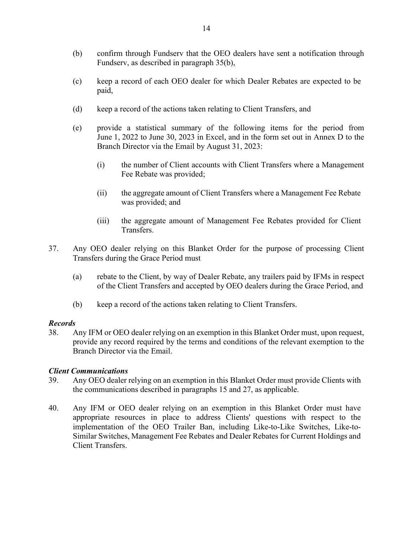- (b) confirm through Fundserv that the OEO dealers have sent a notification through Fundserv, as described in paragraph 35(b),
- (c) keep a record of each OEO dealer for which Dealer Rebates are expected to be paid,
- (d) keep a record of the actions taken relating to Client Transfers, and
- (e) provide a statistical summary of the following items for the period from June 1, 2022 to June 30, 2023 in Excel, and in the form set out in Annex D to the Branch Director via the Email by August 31, 2023:
	- (i) the number of Client accounts with Client Transfers where a Management Fee Rebate was provided;
	- (ii) the aggregate amount of Client Transfers where a Management Fee Rebate was provided; and
	- (iii) the aggregate amount of Management Fee Rebates provided for Client Transfers.
- 37. Any OEO dealer relying on this Blanket Order for the purpose of processing Client Transfers during the Grace Period must
	- (a) rebate to the Client, by way of Dealer Rebate, any trailers paid by IFMs in respect of the Client Transfers and accepted by OEO dealers during the Grace Period, and
	- (b) keep a record of the actions taken relating to Client Transfers.

#### *Records*

38. Any IFM or OEO dealer relying on an exemption in this Blanket Order must, upon request, provide any record required by the terms and conditions of the relevant exemption to the Branch Director via the Email.

## *Client Communications*

- 39. Any OEO dealer relying on an exemption in this Blanket Order must provide Clients with the communications described in paragraphs 15 and 27, as applicable.
- 40. Any IFM or OEO dealer relying on an exemption in this Blanket Order must have appropriate resources in place to address Clients' questions with respect to the implementation of the OEO Trailer Ban, including Like-to-Like Switches, Like-to-Similar Switches, Management Fee Rebates and Dealer Rebates for Current Holdings and Client Transfers.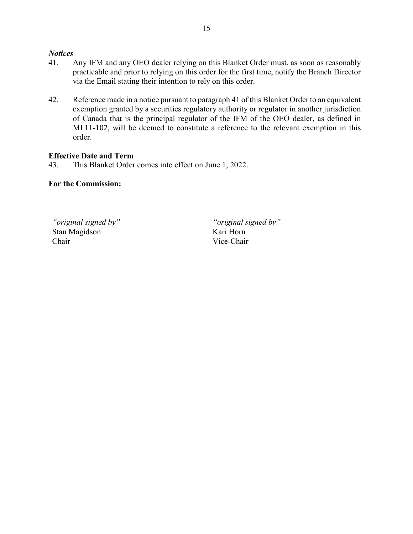#### *Notices*

- 41. Any IFM and any OEO dealer relying on this Blanket Order must, as soon as reasonably practicable and prior to relying on this order for the first time, notify the Branch Director via the Email stating their intention to rely on this order.
- 42. Reference made in a notice pursuant to paragraph 41 of this Blanket Order to an equivalent exemption granted by a securities regulatory authority or regulator in another jurisdiction of Canada that is the principal regulator of the IFM of the OEO dealer, as defined in MI 11-102, will be deemed to constitute a reference to the relevant exemption in this order.

# **Effective Date and Term**

43. This Blanket Order comes into effect on June 1, 2022.

# **For the Commission:**

*"original signed by" "original signed by"*

Stan Magidson Chair

Kari Horn Vice-Chair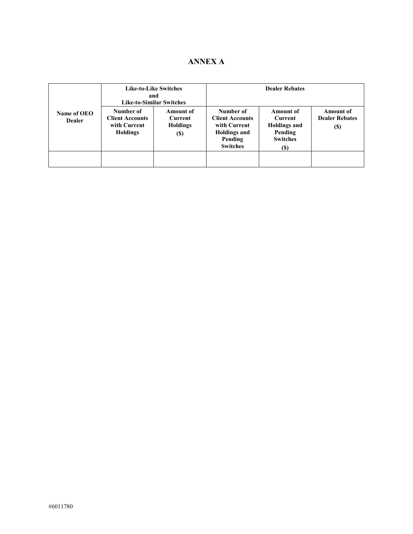# **ANNEX A**

|                              | and                                                                    | <b>Like-to-Like Switches</b><br><b>Like-to-Similar Switches</b> | <b>Dealer Rebates</b>                                                                                    |                                                                                         |                                                   |  |
|------------------------------|------------------------------------------------------------------------|-----------------------------------------------------------------|----------------------------------------------------------------------------------------------------------|-----------------------------------------------------------------------------------------|---------------------------------------------------|--|
| Name of OEO<br><b>Dealer</b> | Number of<br><b>Client Accounts</b><br>with Current<br><b>Holdings</b> | Amount of<br><b>Current</b><br>Holdings<br>(S)                  | Number of<br><b>Client Accounts</b><br>with Current<br><b>Holdings and</b><br>Pending<br><b>Switches</b> | Amount of<br><b>Current</b><br><b>Holdings and</b><br>Pending<br><b>Switches</b><br>(S) | Amount of<br><b>Dealer Rebates</b><br><b>(\$)</b> |  |
|                              |                                                                        |                                                                 |                                                                                                          |                                                                                         |                                                   |  |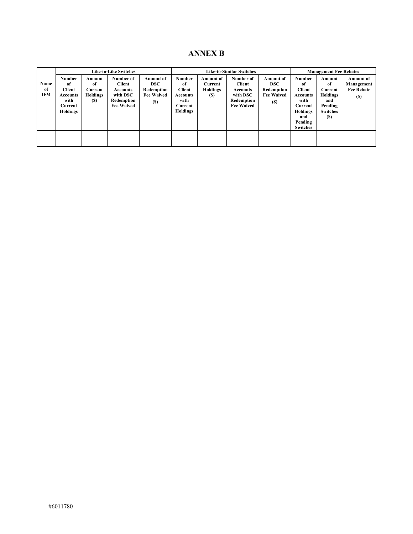# **ANNEX B**

|                          | <b>Like-to-Like Switches</b>                                             |                                                   |                                                                                       | <b>Like-to-Similar Switches</b>                                                 |                                                                                        |                                                | <b>Management Fee Rebates</b>                                                         |                                                                                 |                                                                                                                             |                                                                                        |                                                            |
|--------------------------|--------------------------------------------------------------------------|---------------------------------------------------|---------------------------------------------------------------------------------------|---------------------------------------------------------------------------------|----------------------------------------------------------------------------------------|------------------------------------------------|---------------------------------------------------------------------------------------|---------------------------------------------------------------------------------|-----------------------------------------------------------------------------------------------------------------------------|----------------------------------------------------------------------------------------|------------------------------------------------------------|
| Name<br>of<br><b>IFM</b> | <b>Number</b><br>of<br>Client<br>Accounts<br>with<br>Current<br>Holdings | Amount<br>of<br>Current<br><b>Holdings</b><br>(S) | Number of<br>Client<br><b>Accounts</b><br>with DSC<br>Redemption<br><b>Fee Waived</b> | <b>Amount of</b><br><b>DSC</b><br>Redemption<br><b>Fee Waived</b><br><b>(S)</b> | <b>Number</b><br>of<br><b>Client</b><br><b>Accounts</b><br>with<br>Current<br>Holdings | Amount of<br>Current<br><b>Holdings</b><br>(S) | Number of<br>Client<br><b>Accounts</b><br>with DSC<br>Redemption<br><b>Fee Waived</b> | <b>Amount</b> of<br><b>DSC</b><br>Redemption<br><b>Fee Waived</b><br><b>(S)</b> | Number<br>of<br><b>Client</b><br><b>Accounts</b><br>with<br>Current<br><b>Holdings</b><br>and<br>Pending<br><b>Switches</b> | Amount<br>of<br>Current<br><b>Holdings</b><br>and<br>Pending<br><b>Switches</b><br>(S) | <b>Amount of</b><br>Management<br><b>Fee Rebate</b><br>(S) |
|                          |                                                                          |                                                   |                                                                                       |                                                                                 |                                                                                        |                                                |                                                                                       |                                                                                 |                                                                                                                             |                                                                                        |                                                            |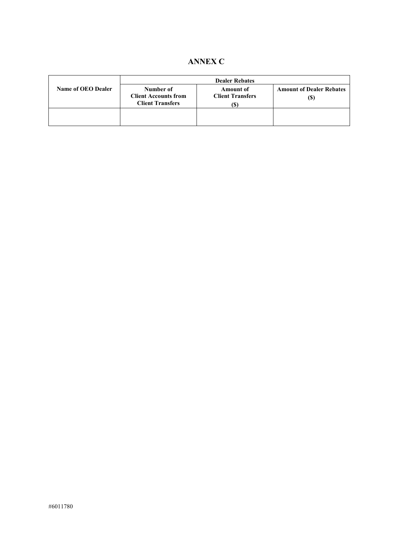# **ANNEX C**

|                           | <b>Dealer Rebates</b>                                               |                                                  |                                        |  |  |  |
|---------------------------|---------------------------------------------------------------------|--------------------------------------------------|----------------------------------------|--|--|--|
| <b>Name of OEO Dealer</b> | Number of<br><b>Client Accounts from</b><br><b>Client Transfers</b> | <b>Amount of</b><br><b>Client Transfers</b><br>D | <b>Amount of Dealer Rebates</b><br>(S) |  |  |  |
|                           |                                                                     |                                                  |                                        |  |  |  |